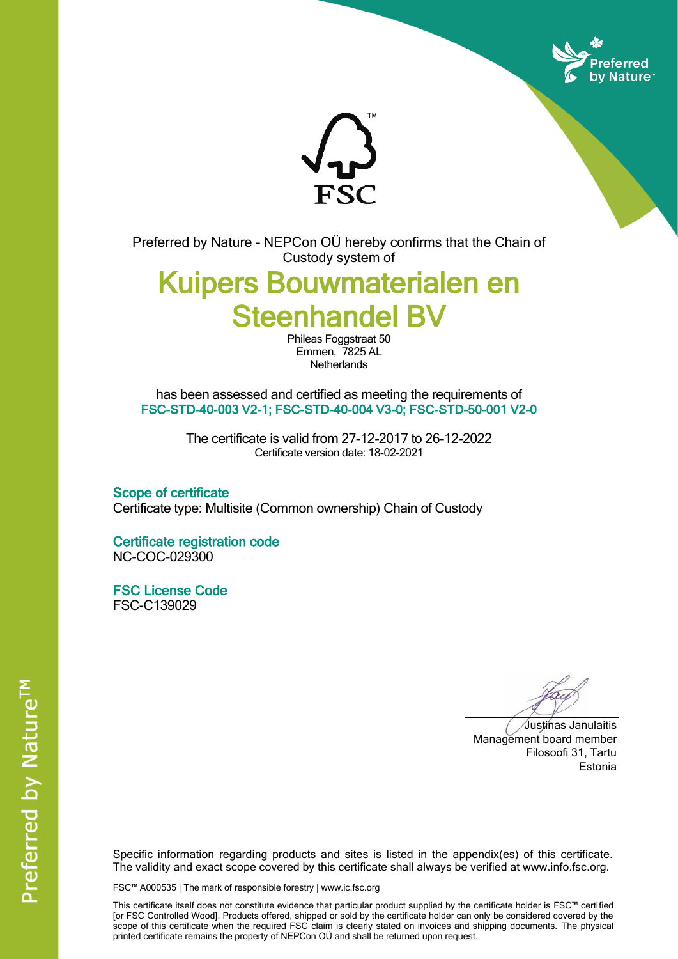



Preferred by Nature - NEPCon OÜ hereby confirms that the Chain of Custody system of

# Kuipers Bouwmaterialen en Steenhandel BV

Phileas Foggstraat 50 Emmen, 7825 AL **Netherlands** 

has been assessed and certified as meeting the requirements of FSC-STD-40-003 V2-1; FSC-STD-40-004 V3-0; FSC-STD-50-001 V2-0

> The certificate is valid from 27-12-2017 to 26-12-2022 Certificate version date: 18-02-2021

Scope of certificate Certificate type: Multisite (Common ownership) Chain of Custody

Certificate registration code NC-COC-029300

FSC License Code FSC-C139029

Justinas Janulaitis Management board member Filosoofi 31, Tartu Estonia

Specific information regarding products and sites is listed in the appendix(es) of this certificate. The validity and exact scope covered by this certificate shall always be verified at www.info.fsc.org.

FSC™ A000535 | The mark of responsible forestry | www.ic.fsc.org

This certificate itself does not constitute evidence that particular product supplied by the certificate holder is FSC™ certified [or FSC Controlled Wood]. Products offered, shipped or sold by the certificate holder can only be considered covered by the scope of this certificate when the required FSC claim is clearly stated on invoices and shipping documents. The physical printed certificate remains the property of NEPCon OÜ and shall be returned upon request.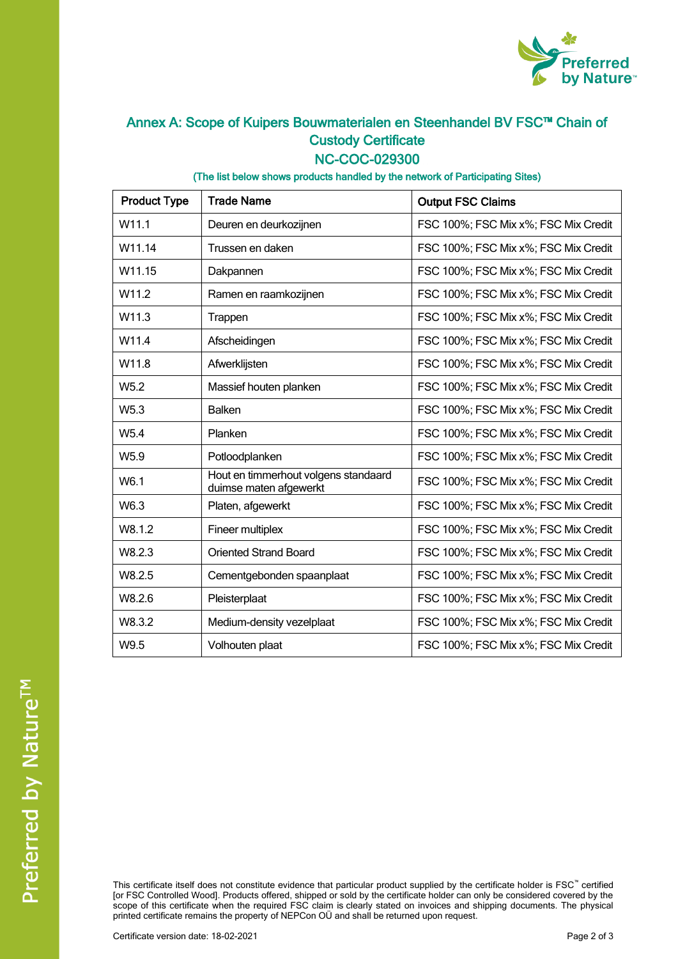

## Annex A: Scope of Kuipers Bouwmaterialen en Steenhandel BV FSC™ Chain of Custody Certificate

#### NC-COC-029300

#### (The list below shows products handled by the network of Participating Sites)

| <b>Product Type</b> | <b>Trade Name</b>                                              | <b>Output FSC Claims</b>             |
|---------------------|----------------------------------------------------------------|--------------------------------------|
| W <sub>11.1</sub>   | Deuren en deurkozijnen                                         | FSC 100%; FSC Mix x%; FSC Mix Credit |
| W11.14              | Trussen en daken                                               | FSC 100%; FSC Mix x%; FSC Mix Credit |
| W11.15              | Dakpannen                                                      | FSC 100%; FSC Mix x%; FSC Mix Credit |
| W <sub>11.2</sub>   | Ramen en raamkozijnen                                          | FSC 100%; FSC Mix x%; FSC Mix Credit |
| W11.3               | Trappen                                                        | FSC 100%; FSC Mix x%; FSC Mix Credit |
| W11.4               | Afscheidingen                                                  | FSC 100%; FSC Mix x%; FSC Mix Credit |
| W11.8               | Afwerklijsten                                                  | FSC 100%; FSC Mix x%; FSC Mix Credit |
| W <sub>5.2</sub>    | Massief houten planken                                         | FSC 100%; FSC Mix x%; FSC Mix Credit |
| W5.3                | <b>Balken</b>                                                  | FSC 100%; FSC Mix x%; FSC Mix Credit |
| W <sub>5.4</sub>    | Planken                                                        | FSC 100%; FSC Mix x%; FSC Mix Credit |
| W5.9                | Potloodplanken                                                 | FSC 100%; FSC Mix x%; FSC Mix Credit |
| W6.1                | Hout en timmerhout volgens standaard<br>duimse maten afgewerkt | FSC 100%; FSC Mix x%; FSC Mix Credit |
| W6.3                | Platen, afgewerkt                                              | FSC 100%; FSC Mix x%; FSC Mix Credit |
| W8.1.2              | Fineer multiplex                                               | FSC 100%; FSC Mix x%; FSC Mix Credit |
| W8.2.3              | <b>Oriented Strand Board</b>                                   | FSC 100%; FSC Mix x%; FSC Mix Credit |
| W8.2.5              | Cementgebonden spaanplaat                                      | FSC 100%; FSC Mix x%; FSC Mix Credit |
| W8.2.6              | Pleisterplaat                                                  | FSC 100%; FSC Mix x%; FSC Mix Credit |
| W8.3.2              | Medium-density vezelplaat                                      | FSC 100%; FSC Mix x%; FSC Mix Credit |
| W9.5                | Volhouten plaat                                                | FSC 100%; FSC Mix x%; FSC Mix Credit |

This certificate itself does not constitute evidence that particular product supplied by the certificate holder is FSC™ certified [or FSC Controlled Wood]. Products offered, shipped or sold by the certificate holder can only be considered covered by the scope of this certificate when the required FSC claim is clearly stated on invoices and shipping documents. The physical printed certificate remains the property of NEPCon OÜ and shall be returned upon request.